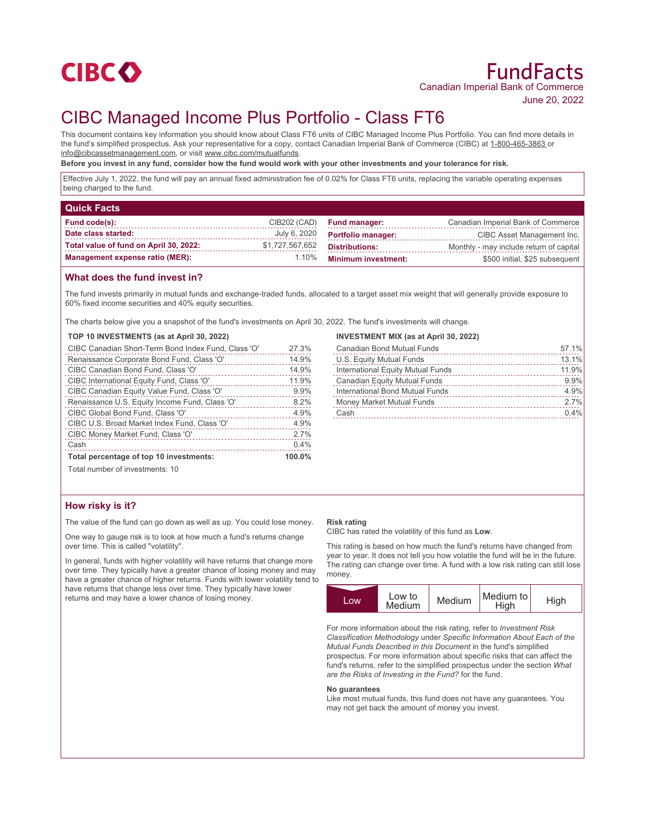

June 20, 2022

# CIBC Managed Income Plus Portfolio - Class FT6

This document contains key information you should know about Class FT6 units of CIBC Managed Income Plus Portfolio. You can find more details in the fund's simplified prospectus. Ask your representative for a copy, contact Canadian Imperial Bank of Commerce (CIBC) at 1-800-465-3863 or info@cibcassetmanagement.com, or visit www.cibc.com/mutualfunds.

**Before you invest in any fund, consider how the fund would work with your other investments and your tolerance for risk.**

Effective July 1, 2022, the fund will pay an annual fixed administration fee of 0.02% for Class FT6 units, replacing the variable operating expenses being charged to the fund.

| <b>Quick Facts</b>                     |                 |                            |                                         |
|----------------------------------------|-----------------|----------------------------|-----------------------------------------|
| Fund code(s):                          | CIB202 (CAD)    | <b>Fund manager:</b>       | Canadian Imperial Bank of Commerce      |
| Date class started:                    | July 6, 2020    | <b>Portfolio manager:</b>  | CIBC Asset Management Inc.              |
| Total value of fund on April 30, 2022: | \$1,727,567,652 | <b>Distributions:</b>      | Monthly - may include return of capital |
| <b>Management expense ratio (MER):</b> | 1.10%           | <b>Minimum investment:</b> | \$500 initial, \$25 subsequent          |

### **What does the fund invest in?**

The fund invests primarily in mutual funds and exchange-traded funds, allocated to a target asset mix weight that will generally provide exposure to 60% fixed income securities and 40% equity securities.

The charts below give you a snapshot of the fund's investments on April 30, 2022. The fund's investments will change.

#### **TOP 10 INVESTMENTS (as at April 30, 2022)**

| CIBC Canadian Short-Term Bond Index Fund, Class 'O' | 27.3%  |
|-----------------------------------------------------|--------|
| Renaissance Corporate Bond Fund, Class 'O'          | 14.9%  |
| CIBC Canadian Bond Fund, Class 'O'                  | 14.9%  |
| CIBC International Equity Fund, Class 'O'           | 11.9%  |
| CIBC Canadian Equity Value Fund, Class 'O'          | 9.9%   |
| Renaissance U.S. Equity Income Fund, Class 'O'      | 8.2%   |
| CIBC Global Bond Fund, Class 'O'                    | 4.9%   |
| CIBC U.S. Broad Market Index Fund, Class 'O'        | 4.9%   |
| CIBC Money Market Fund, Class 'O'                   | 2.7%   |
| Cash                                                | 0.4%   |
| Total percentage of top 10 investments:             | 100.0% |

#### **INVESTMENT MIX (as at April 30, 2022)**

| Canadian Bond Mutual Funds          | 57.1% |
|-------------------------------------|-------|
| U.S. Equity Mutual Funds            | 13.1% |
| International Equity Mutual Funds   | 11.9% |
| <b>Canadian Equity Mutual Funds</b> | 9.9%  |
| International Bond Mutual Funds     | 4.9%  |
| Money Market Mutual Funds           | 2.7%  |
| Cash                                | 0.4%  |
|                                     |       |

Total number of investments: 10

## **How risky is it?**

The value of the fund can go down as well as up. You could lose money.

One way to gauge risk is to look at how much a fund's returns change over time. This is called "volatility".

In general, funds with higher volatility will have returns that change more over time. They typically have a greater chance of losing money and may have a greater chance of higher returns. Funds with lower volatility tend to have returns that change less over time. They typically have lower returns and may have a lower chance of losing money.

#### **Risk rating**

CIBC has rated the volatility of this fund as **Low**.

This rating is based on how much the fund's returns have changed from year to year. It does not tell you how volatile the fund will be in the future. The rating can change over time. A fund with a low risk rating can still lose money.



For more information about the risk rating, refer to *Investment Risk Classification Methodology* under *Specific Information About Each of the Mutual Funds Described in this Document* in the fund's simplified prospectus. For more information about specific risks that can affect the fund's returns, refer to the simplified prospectus under the section *What are the Risks of Investing in the Fund?* for the fund.

#### **No guarantees**

Like most mutual funds, this fund does not have any guarantees. You may not get back the amount of money you invest.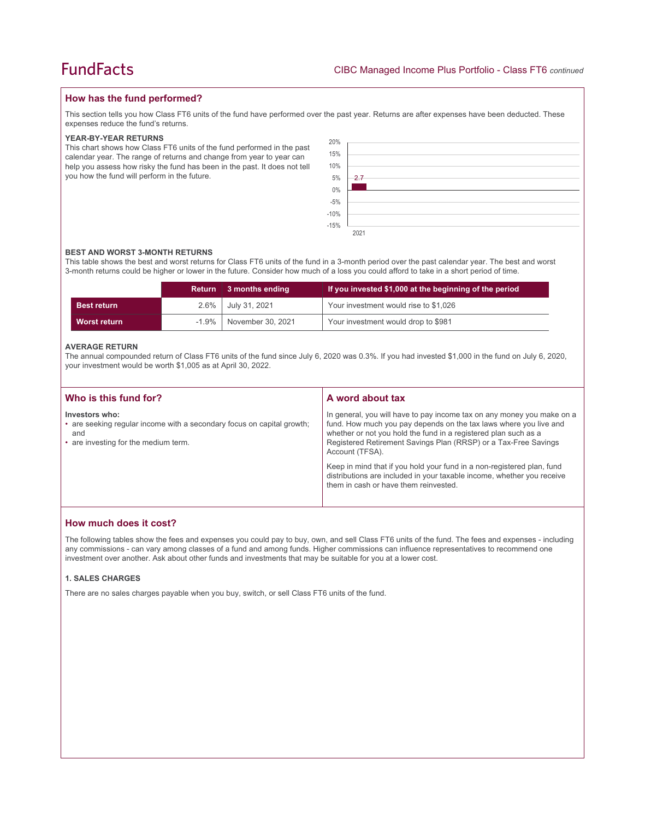## **How has the fund performed?**

This section tells you how Class FT6 units of the fund have performed over the past year. Returns are after expenses have been deducted. These expenses reduce the fund's returns.

#### **YEAR-BY-YEAR RETURNS**

This chart shows how Class FT6 units of the fund performed in the past calendar year. The range of returns and change from year to year can help you assess how risky the fund has been in the past. It does not tell you how the fund will perform in the future.

| 20%<br>15%<br>10%<br>5%<br>$0\%$<br>$-5\%$<br>$-10\%$<br>$-15\%$ | 2.7  |
|------------------------------------------------------------------|------|
|                                                                  |      |
|                                                                  | 2021 |

#### **BEST AND WORST 3-MONTH RETURNS**

This table shows the best and worst returns for Class FT6 units of the fund in a 3-month period over the past calendar year. The best and worst 3-month returns could be higher or lower in the future. Consider how much of a loss you could afford to take in a short period of time.

|                    | <b>Return</b> | 3 months ending    | If you invested \$1,000 at the beginning of the period |  |
|--------------------|---------------|--------------------|--------------------------------------------------------|--|
| <b>Best return</b> |               | 2.6% July 31, 2021 | Your investment would rise to \$1,026                  |  |
| Worst return       | $-1.9\%$      | November 30, 2021  | Your investment would drop to \$981                    |  |

#### **AVERAGE RETURN**

The annual compounded return of Class FT6 units of the fund since July 6, 2020 was 0.3%. If you had invested \$1,000 in the fund on July 6, 2020, your investment would be worth \$1,005 as at April 30, 2022.

| Who is this fund for?                                                                                                                   | A word about tax                                                                                                                                                                                                                                                                                     |
|-----------------------------------------------------------------------------------------------------------------------------------------|------------------------------------------------------------------------------------------------------------------------------------------------------------------------------------------------------------------------------------------------------------------------------------------------------|
| Investors who:<br>• are seeking regular income with a secondary focus on capital growth;<br>and<br>• are investing for the medium term. | In general, you will have to pay income tax on any money you make on a<br>fund. How much you pay depends on the tax laws where you live and<br>whether or not you hold the fund in a registered plan such as a<br>Registered Retirement Savings Plan (RRSP) or a Tax-Free Savings<br>Account (TFSA). |
|                                                                                                                                         | Keep in mind that if you hold your fund in a non-registered plan, fund<br>distributions are included in your taxable income, whether you receive<br>them in cash or have them reinvested.                                                                                                            |

## **How much does it cost?**

The following tables show the fees and expenses you could pay to buy, own, and sell Class FT6 units of the fund. The fees and expenses - including any commissions - can vary among classes of a fund and among funds. Higher commissions can influence representatives to recommend one investment over another. Ask about other funds and investments that may be suitable for you at a lower cost.

#### **1. SALES CHARGES**

There are no sales charges payable when you buy, switch, or sell Class FT6 units of the fund.